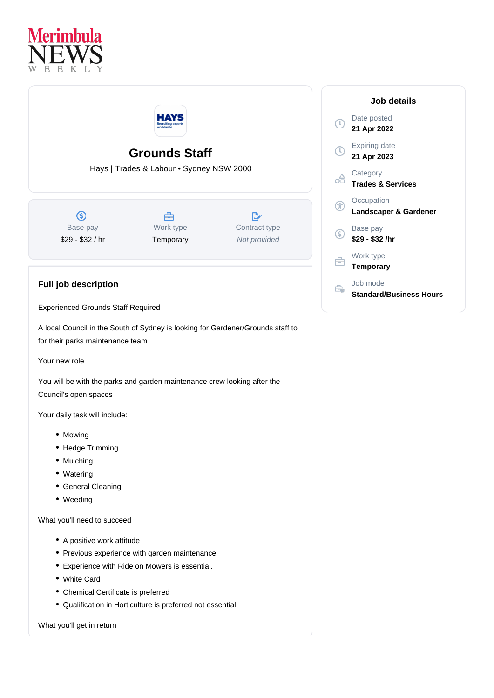



## **Grounds Staff**

Hays | Trades & Labour • Sydney NSW 2000

 $\circledS$ Base pay \$29 - \$32 / hr

**Full job description**

Å Work type **Temporary** 

 $\mathbb{R}$ Contract type Not provided

## **Job details** Date posted  $(\mathbb{C})$ **21 Apr 2022** Expiring date  $\bigcap$ **21 Apr 2023 Category** ക് **Trades & Services Occupation** Œ **Landscaper & Gardener** Base pay (S) **\$29 - \$32 /hr** Work type Ê **Temporary** Job mode Ê. **Standard/Business Hours**

Experienced Grounds Staff Required

A local Council in the South of Sydney is looking for Gardener/Grounds staff to for their parks maintenance team

Your new role

You will be with the parks and garden maintenance crew looking after the Council's open spaces

Your daily task will include:

- Mowing
- Hedge Trimming
- Mulching
- Watering
- General Cleaning
- Weeding

What you'll need to succeed

- A positive work attitude
- Previous experience with garden maintenance
- Experience with Ride on Mowers is essential.
- White Card
- Chemical Certificate is preferred
- Qualification in Horticulture is preferred not essential.

What you'll get in return